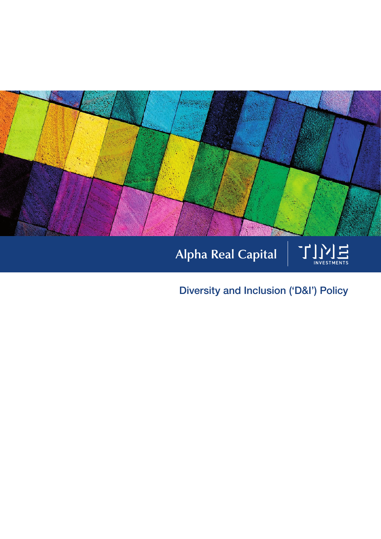

# Alpha Real Capital



Diversity and Inclusion ('D&I') Policy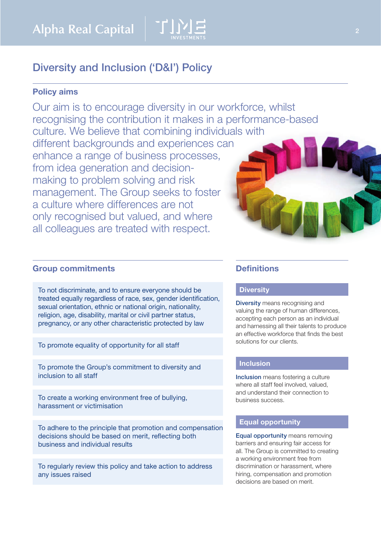

# Diversity and Inclusion ('D&I') Policy

# Policy aims

Our aim is to encourage diversity in our workforce, whilst recognising the contribution it makes in a performance-based culture. We believe that combining individuals with different backgrounds and experiences can enhance a range of business processes, from idea generation and decisionmaking to problem solving and risk management. The Group seeks to foster a culture where differences are not only recognised but valued, and where all colleagues are treated with respect.

### Group commitments

To not discriminate, and to ensure everyone should be treated equally regardless of race, sex, gender identification, sexual orientation, ethnic or national origin, nationality, religion, age, disability, marital or civil partner status, pregnancy, or any other characteristic protected by law

To promote equality of opportunity for all staff

To promote the Group's commitment to diversity and inclusion to all staff

To create a working environment free of bullying, harassment or victimisation

To adhere to the principle that promotion and compensation decisions should be based on merit, reflecting both business and individual results

To regularly review this policy and take action to address any issues raised

### **Definitions**

#### **Diversity**

Diversity means recognising and valuing the range of human differences, accepting each person as an individual and harnessing all their talents to produce an effective workforce that finds the best solutions for our clients.

# **Inclusion**

Inclusion means fostering a culture where all staff feel involved, valued, and understand their connection to business success.

#### Equal opportunity

Equal opportunity means removing barriers and ensuring fair access for all. The Group is committed to creating a working environment free from discrimination or harassment, where hiring, compensation and promotion decisions are based on merit.